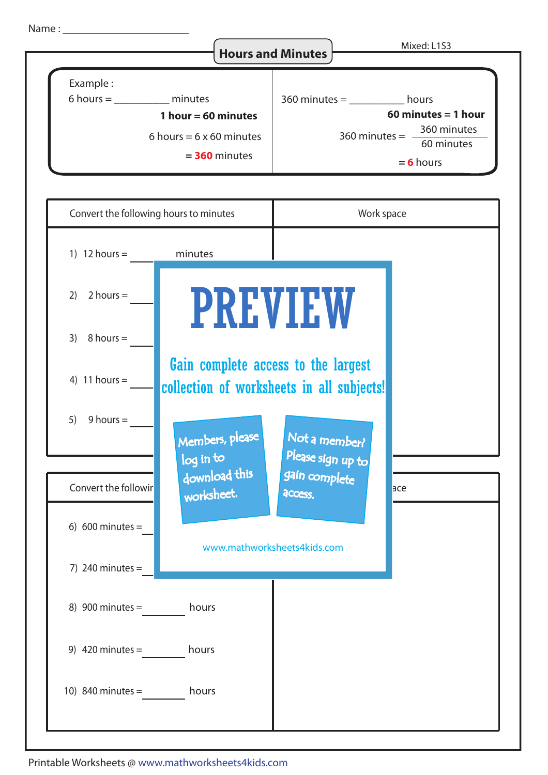Name :



Printable Worksheets @ www.mathworksheets4kids.com